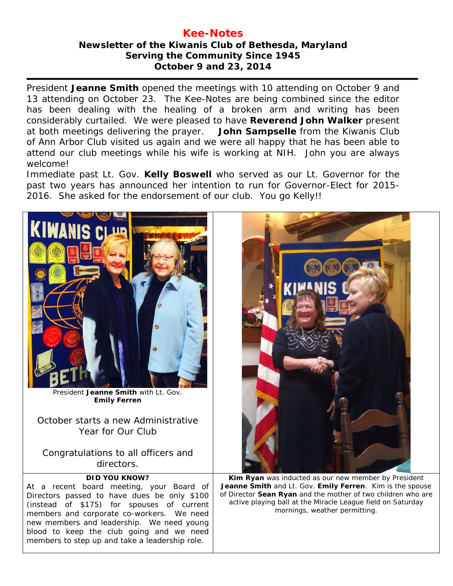## **Kee-Notes Newsletter of the Kiwanis Club of Bethesda, Maryland Serving the Community Since 1945 October 9 and 23, 2014**

President **Jeanne Smith** opened the meetings with 10 attending on October 9 and 13 attending on October 23. The Kee-Notes are being combined since the editor has been dealing with the healing of a broken arm and writing has been considerably curtailed. We were pleased to have **Reverend John Walker** present at both meetings delivering the prayer. **John Sampselle** from the Kiwanis Club of Ann Arbor Club visited us again and we were all happy that he has been able to attend our club meetings while his wife is working at NIH. John you are always welcome!

Immediate past Lt. Gov. **Kelly Boswell** who served as our Lt. Governor for the past two years has announced her intention to run for Governor-Elect for 2015- 2016. She asked for the endorsement of our club. You go Kelly!!



President **Jeanne Smith** with Lt. Gov. **Emily Ferren**

October starts a new Administrative Year for Our Club

Congratulations to all officers and directors.

## **DID YOU KNOW?**

At a recent board meeting, your Board of Directors passed to have dues be only \$100 (instead of \$175) for spouses of current members and corporate co-workers. We need new members and leadership. We need young blood to keep the club going and we need members to step up and take a leadership role.



**Kim Ryan** was inducted as our new member by President **Jeanne Smith** and Lt. Gov. **Emily Ferren**. Kim is the spouse of Director **Sean Ryan** and the mother of two children who are active playing ball at the Miracle League field on Saturday mornings, weather permitting.